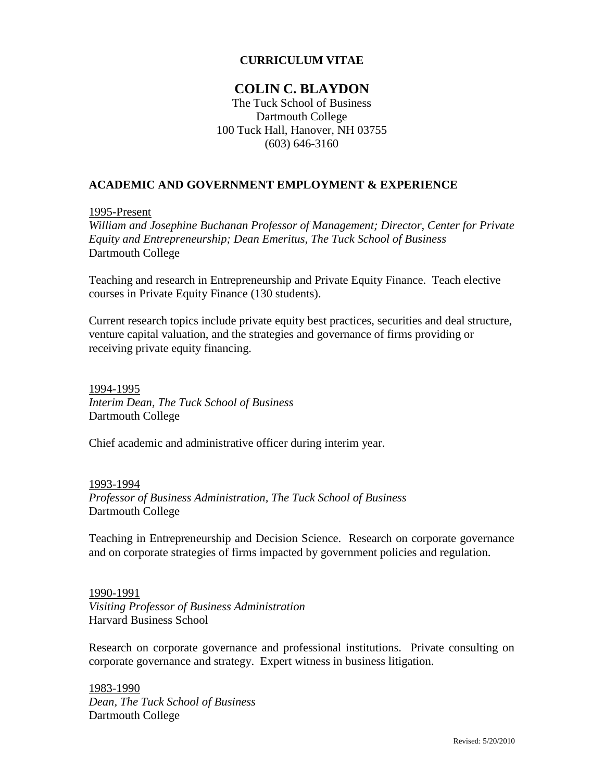### **CURRICULUM VITAE**

# **COLIN C. BLAYDON**

The Tuck School of Business Dartmouth College 100 Tuck Hall, Hanover, NH 03755 (603) 646-3160

# **ACADEMIC AND GOVERNMENT EMPLOYMENT & EXPERIENCE**

1995-Present

*William and Josephine Buchanan Professor of Management; Director, Center for Private Equity and Entrepreneurship; Dean Emeritus, The Tuck School of Business* Dartmouth College

Teaching and research in Entrepreneurship and Private Equity Finance. Teach elective courses in Private Equity Finance (130 students).

Current research topics include private equity best practices, securities and deal structure, venture capital valuation, and the strategies and governance of firms providing or receiving private equity financing.

1994-1995 *Interim Dean, The Tuck School of Business* Dartmouth College

Chief academic and administrative officer during interim year.

1993-1994 *Professor of Business Administration, The Tuck School of Business* Dartmouth College

Teaching in Entrepreneurship and Decision Science. Research on corporate governance and on corporate strategies of firms impacted by government policies and regulation.

1990-1991 *Visiting Professor of Business Administration* Harvard Business School

Research on corporate governance and professional institutions. Private consulting on corporate governance and strategy. Expert witness in business litigation.

1983-1990 *Dean, The Tuck School of Business* Dartmouth College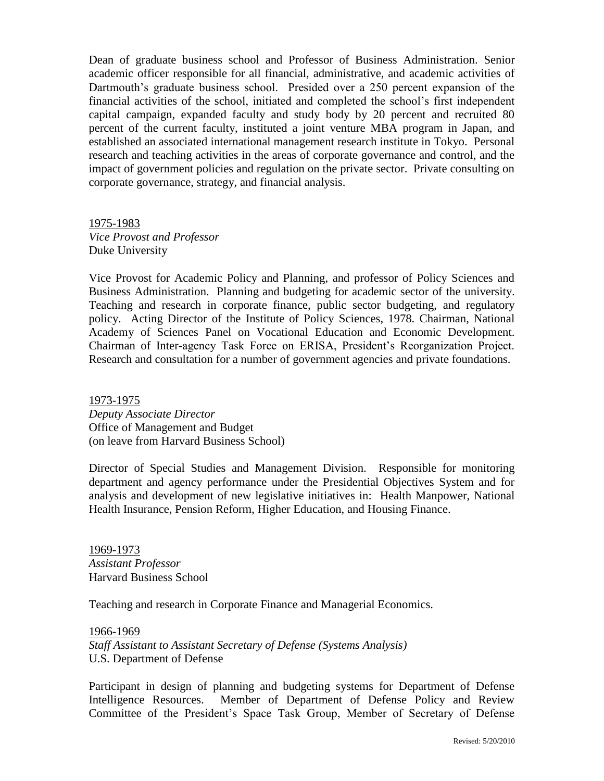Dean of graduate business school and Professor of Business Administration. Senior academic officer responsible for all financial, administrative, and academic activities of Dartmouth's graduate business school. Presided over a 250 percent expansion of the financial activities of the school, initiated and completed the school"s first independent capital campaign, expanded faculty and study body by 20 percent and recruited 80 percent of the current faculty, instituted a joint venture MBA program in Japan, and established an associated international management research institute in Tokyo. Personal research and teaching activities in the areas of corporate governance and control, and the impact of government policies and regulation on the private sector. Private consulting on corporate governance, strategy, and financial analysis.

1975-1983 *Vice Provost and Professor* Duke University

Vice Provost for Academic Policy and Planning, and professor of Policy Sciences and Business Administration. Planning and budgeting for academic sector of the university. Teaching and research in corporate finance, public sector budgeting, and regulatory policy. Acting Director of the Institute of Policy Sciences, 1978. Chairman, National Academy of Sciences Panel on Vocational Education and Economic Development. Chairman of Inter-agency Task Force on ERISA, President"s Reorganization Project. Research and consultation for a number of government agencies and private foundations.

1973-1975 *Deputy Associate Director* Office of Management and Budget (on leave from Harvard Business School)

Director of Special Studies and Management Division. Responsible for monitoring department and agency performance under the Presidential Objectives System and for analysis and development of new legislative initiatives in: Health Manpower, National Health Insurance, Pension Reform, Higher Education, and Housing Finance.

1969-1973 *Assistant Professor* Harvard Business School

Teaching and research in Corporate Finance and Managerial Economics.

1966-1969 *Staff Assistant to Assistant Secretary of Defense (Systems Analysis)* U.S. Department of Defense

Participant in design of planning and budgeting systems for Department of Defense Intelligence Resources. Member of Department of Defense Policy and Review Committee of the President"s Space Task Group, Member of Secretary of Defense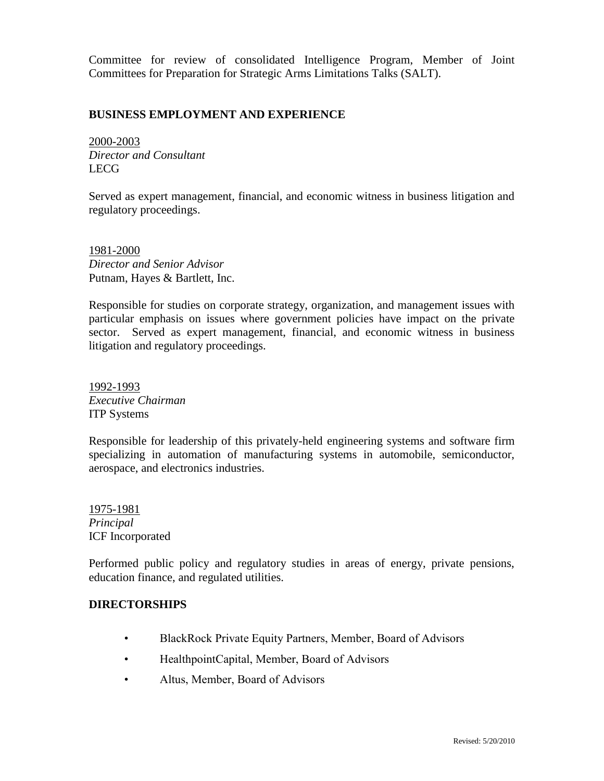Committee for review of consolidated Intelligence Program, Member of Joint Committees for Preparation for Strategic Arms Limitations Talks (SALT).

### **BUSINESS EMPLOYMENT AND EXPERIENCE**

2000-2003 *Director and Consultant* LECG

Served as expert management, financial, and economic witness in business litigation and regulatory proceedings.

1981-2000 *Director and Senior Advisor* Putnam, Hayes & Bartlett, Inc.

Responsible for studies on corporate strategy, organization, and management issues with particular emphasis on issues where government policies have impact on the private sector. Served as expert management, financial, and economic witness in business litigation and regulatory proceedings.

1992-1993 *Executive Chairman* ITP Systems

Responsible for leadership of this privately-held engineering systems and software firm specializing in automation of manufacturing systems in automobile, semiconductor, aerospace, and electronics industries.

1975-1981 *Principal* ICF Incorporated

Performed public policy and regulatory studies in areas of energy, private pensions, education finance, and regulated utilities.

#### **DIRECTORSHIPS**

- BlackRock Private Equity Partners, Member, Board of Advisors
- HealthpointCapital, Member, Board of Advisors
- Altus, Member, Board of Advisors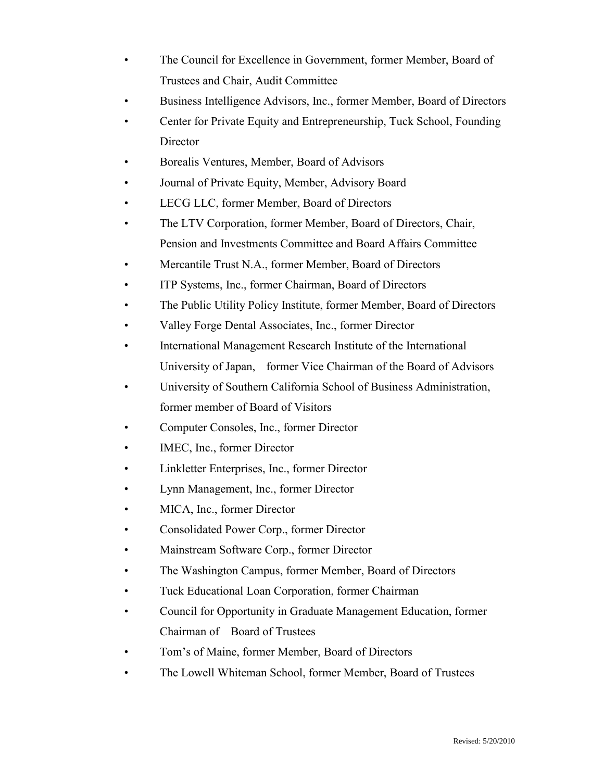- The Council for Excellence in Government, former Member, Board of Trustees and Chair, Audit Committee
- Business Intelligence Advisors, Inc., former Member, Board of Directors
- Center for Private Equity and Entrepreneurship, Tuck School, Founding Director
- Borealis Ventures, Member, Board of Advisors
- Journal of Private Equity, Member, Advisory Board
- LECG LLC, former Member, Board of Directors
- The LTV Corporation, former Member, Board of Directors, Chair, Pension and Investments Committee and Board Affairs Committee
- Mercantile Trust N.A., former Member, Board of Directors
- ITP Systems, Inc., former Chairman, Board of Directors
- The Public Utility Policy Institute, former Member, Board of Directors
- Valley Forge Dental Associates, Inc., former Director
- International Management Research Institute of the International University of Japan, former Vice Chairman of the Board of Advisors
- University of Southern California School of Business Administration, former member of Board of Visitors
- Computer Consoles, Inc., former Director
- IMEC, Inc., former Director
- Linkletter Enterprises, Inc., former Director
- Lynn Management, Inc., former Director
- MICA, Inc., former Director
- Consolidated Power Corp., former Director
- Mainstream Software Corp., former Director
- The Washington Campus, former Member, Board of Directors
- Tuck Educational Loan Corporation, former Chairman
- Council for Opportunity in Graduate Management Education, former Chairman of Board of Trustees
- Tom's of Maine, former Member, Board of Directors
- The Lowell Whiteman School, former Member, Board of Trustees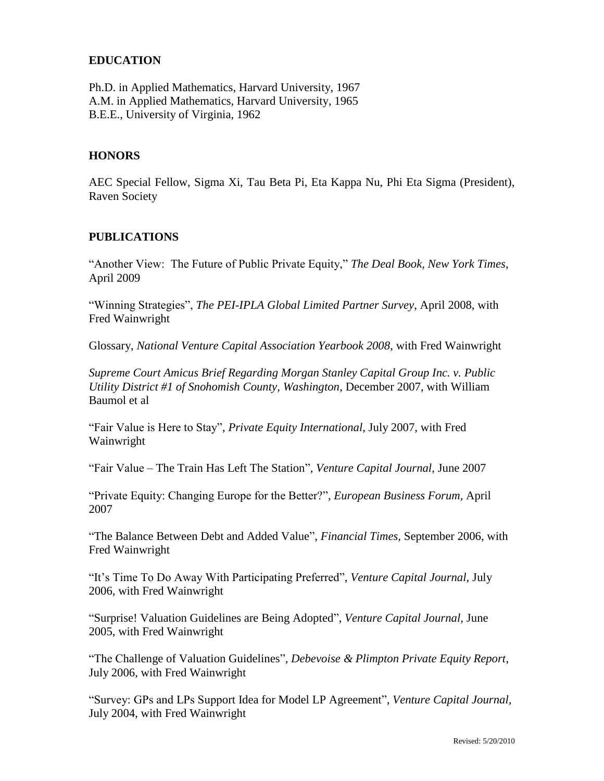### **EDUCATION**

Ph.D. in Applied Mathematics, Harvard University, 1967 A.M. in Applied Mathematics, Harvard University, 1965 B.E.E., University of Virginia, 1962

#### **HONORS**

AEC Special Fellow, Sigma Xi, Tau Beta Pi, Eta Kappa Nu, Phi Eta Sigma (President), Raven Society

#### **PUBLICATIONS**

"Another View: The Future of Public Private Equity," *The Deal Book, New York Times*, April 2009

"Winning Strategies", *The PEI-IPLA Global Limited Partner Survey*, April 2008, with Fred Wainwright

Glossary, *National Venture Capital Association Yearbook 2008*, with Fred Wainwright

*Supreme Court Amicus Brief Regarding Morgan Stanley Capital Group Inc. v. Public Utility District #1 of Snohomish County, Washington*, December 2007, with William Baumol et al

"Fair Value is Here to Stay", *Private Equity International*, July 2007, with Fred Wainwright

"Fair Value – The Train Has Left The Station", *Venture Capital Journal,* June 2007

"Private Equity: Changing Europe for the Better?", *European Business Forum,* April 2007

"The Balance Between Debt and Added Value", *Financial Times,* September 2006, with Fred Wainwright

"It"s Time To Do Away With Participating Preferred", *Venture Capital Journal,* July 2006, with Fred Wainwright

"Surprise! Valuation Guidelines are Being Adopted", *Venture Capital Journal,* June 2005, with Fred Wainwright

"The Challenge of Valuation Guidelines", *Debevoise & Plimpton Private Equity Report*, July 2006, with Fred Wainwright

"Survey: GPs and LPs Support Idea for Model LP Agreement", *Venture Capital Journal,*  July 2004, with Fred Wainwright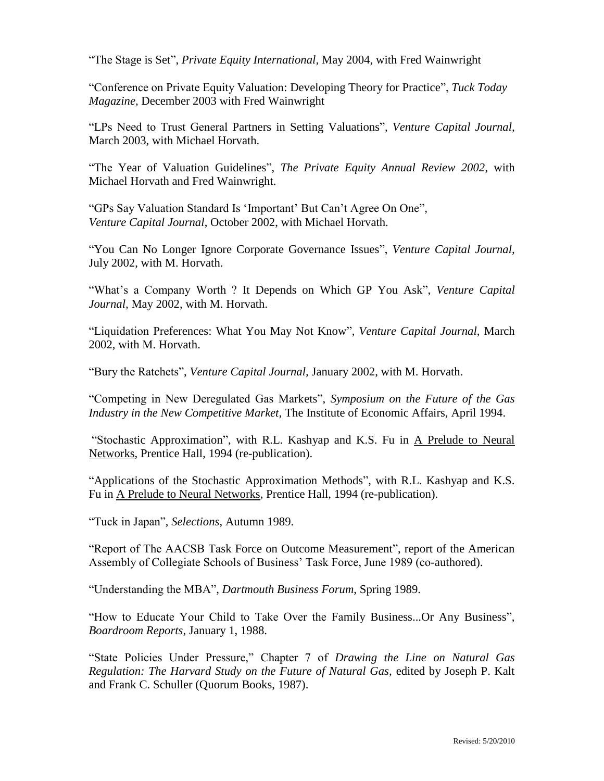"The Stage is Set", *Private Equity International,* May 2004, with Fred Wainwright

"Conference on Private Equity Valuation: Developing Theory for Practice", *Tuck Today Magazine,* December 2003 with Fred Wainwright

"LPs Need to Trust General Partners in Setting Valuations", *Venture Capital Journal,*  March 2003, with Michael Horvath.

"The Year of Valuation Guidelines", *The Private Equity Annual Review 2002*, with Michael Horvath and Fred Wainwright.

"GPs Say Valuation Standard Is "Important" But Can"t Agree On One", *Venture Capital Journal*, October 2002, with Michael Horvath.

"You Can No Longer Ignore Corporate Governance Issues", *Venture Capital Journal,*  July 2002, with M. Horvath.

"What's a Company Worth ? It Depends on Which GP You Ask", Venture Capital *Journal,* May 2002, with M. Horvath.

"Liquidation Preferences: What You May Not Know", *Venture Capital Journal,* March 2002, with M. Horvath.

"Bury the Ratchets", *Venture Capital Journal,* January 2002, with M. Horvath.

"Competing in New Deregulated Gas Markets", *Symposium on the Future of the Gas Industry in the New Competitive Market,* The Institute of Economic Affairs, April 1994.

"Stochastic Approximation", with R.L. Kashyap and K.S. Fu in A Prelude to Neural Networks, Prentice Hall, 1994 (re-publication).

"Applications of the Stochastic Approximation Methods", with R.L. Kashyap and K.S. Fu in A Prelude to Neural Networks, Prentice Hall, 1994 (re-publication).

"Tuck in Japan", *Selections*, Autumn 1989.

"Report of The AACSB Task Force on Outcome Measurement", report of the American Assembly of Collegiate Schools of Business' Task Force, June 1989 (co-authored).

"Understanding the MBA", *Dartmouth Business Forum*, Spring 1989.

"How to Educate Your Child to Take Over the Family Business...Or Any Business", *Boardroom Reports*, January 1, 1988.

"State Policies Under Pressure," Chapter 7 of *Drawing the Line on Natural Gas Regulation: The Harvard Study on the Future of Natural Gas,* edited by Joseph P. Kalt and Frank C. Schuller (Quorum Books, 1987).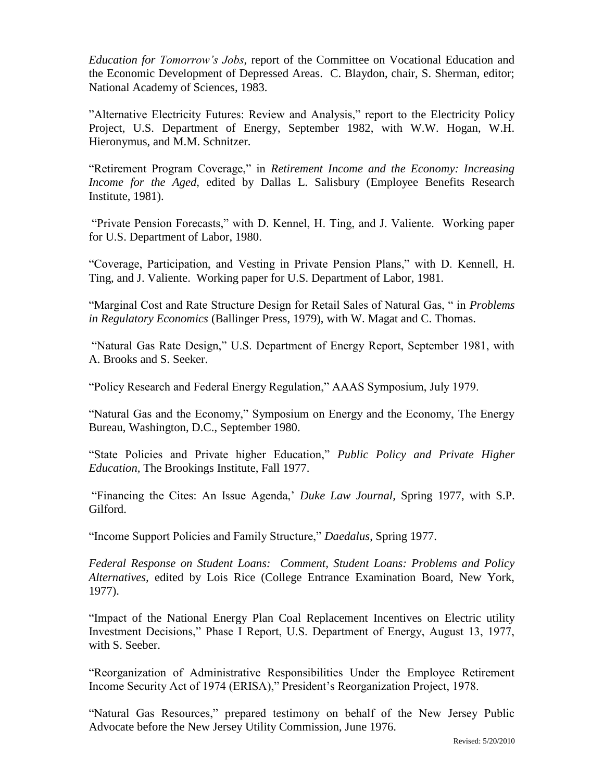*Education for Tomorrow's Jobs*, report of the Committee on Vocational Education and the Economic Development of Depressed Areas. C. Blaydon, chair, S. Sherman, editor; National Academy of Sciences, 1983.

"Alternative Electricity Futures: Review and Analysis," report to the Electricity Policy Project, U.S. Department of Energy, September 1982, with W.W. Hogan, W.H. Hieronymus, and M.M. Schnitzer.

"Retirement Program Coverage," in *Retirement Income and the Economy: Increasing Income for the Aged,* edited by Dallas L. Salisbury (Employee Benefits Research Institute, 1981).

"Private Pension Forecasts," with D. Kennel, H. Ting, and J. Valiente. Working paper for U.S. Department of Labor, 1980.

"Coverage, Participation, and Vesting in Private Pension Plans," with D. Kennell, H. Ting, and J. Valiente. Working paper for U.S. Department of Labor, 1981.

"Marginal Cost and Rate Structure Design for Retail Sales of Natural Gas, " in *Problems in Regulatory Economics* (Ballinger Press, 1979), with W. Magat and C. Thomas.

"Natural Gas Rate Design," U.S. Department of Energy Report, September 1981, with A. Brooks and S. Seeker.

"Policy Research and Federal Energy Regulation," AAAS Symposium, July 1979.

"Natural Gas and the Economy," Symposium on Energy and the Economy, The Energy Bureau, Washington, D.C., September 1980.

"State Policies and Private higher Education," *Public Policy and Private Higher Education,* The Brookings Institute, Fall 1977.

"Financing the Cites: An Issue Agenda," *Duke Law Journal,* Spring 1977, with S.P. Gilford.

"Income Support Policies and Family Structure," *Daedalus*, Spring 1977.

*Federal Response on Student Loans: Comment, Student Loans: Problems and Policy Alternatives,* edited by Lois Rice (College Entrance Examination Board, New York, 1977).

"Impact of the National Energy Plan Coal Replacement Incentives on Electric utility Investment Decisions," Phase I Report, U.S. Department of Energy, August 13, 1977, with S. Seeber.

"Reorganization of Administrative Responsibilities Under the Employee Retirement Income Security Act of 1974 (ERISA)," President"s Reorganization Project, 1978.

"Natural Gas Resources," prepared testimony on behalf of the New Jersey Public Advocate before the New Jersey Utility Commission, June 1976.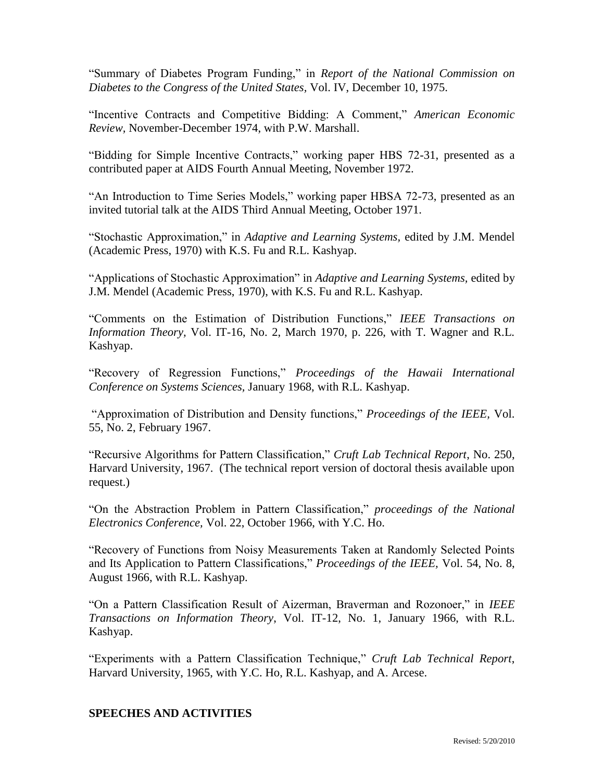"Summary of Diabetes Program Funding," in *Report of the National Commission on Diabetes to the Congress of the United States,* Vol. IV, December 10, 1975.

"Incentive Contracts and Competitive Bidding: A Comment," *American Economic Review,* November-December 1974, with P.W. Marshall.

"Bidding for Simple Incentive Contracts," working paper HBS 72-31, presented as a contributed paper at AIDS Fourth Annual Meeting, November 1972.

"An Introduction to Time Series Models," working paper HBSA 72-73, presented as an invited tutorial talk at the AIDS Third Annual Meeting, October 1971.

"Stochastic Approximation," in *Adaptive and Learning Systems,* edited by J.M. Mendel (Academic Press, 1970) with K.S. Fu and R.L. Kashyap.

"Applications of Stochastic Approximation" in *Adaptive and Learning Systems,* edited by J.M. Mendel (Academic Press, 1970), with K.S. Fu and R.L. Kashyap.

"Comments on the Estimation of Distribution Functions," *IEEE Transactions on Information Theory,* Vol. IT-16, No. 2, March 1970, p. 226, with T. Wagner and R.L. Kashyap.

"Recovery of Regression Functions," *Proceedings of the Hawaii International Conference on Systems Sciences,* January 1968, with R.L. Kashyap.

"Approximation of Distribution and Density functions," *Proceedings of the IEEE,* Vol. 55, No. 2, February 1967.

"Recursive Algorithms for Pattern Classification," *Cruft Lab Technical Report*, No. 250, Harvard University, 1967. (The technical report version of doctoral thesis available upon request.)

"On the Abstraction Problem in Pattern Classification," *proceedings of the National Electronics Conference,* Vol. 22, October 1966, with Y.C. Ho.

"Recovery of Functions from Noisy Measurements Taken at Randomly Selected Points and Its Application to Pattern Classifications," *Proceedings of the IEEE,* Vol. 54, No. 8, August 1966, with R.L. Kashyap.

"On a Pattern Classification Result of Aizerman, Braverman and Rozonoer," in *IEEE Transactions on Information Theory*, Vol. IT-12, No. 1, January 1966, with R.L. Kashyap.

"Experiments with a Pattern Classification Technique," *Cruft Lab Technical Report*, Harvard University, 1965, with Y.C. Ho, R.L. Kashyap, and A. Arcese.

# **SPEECHES AND ACTIVITIES**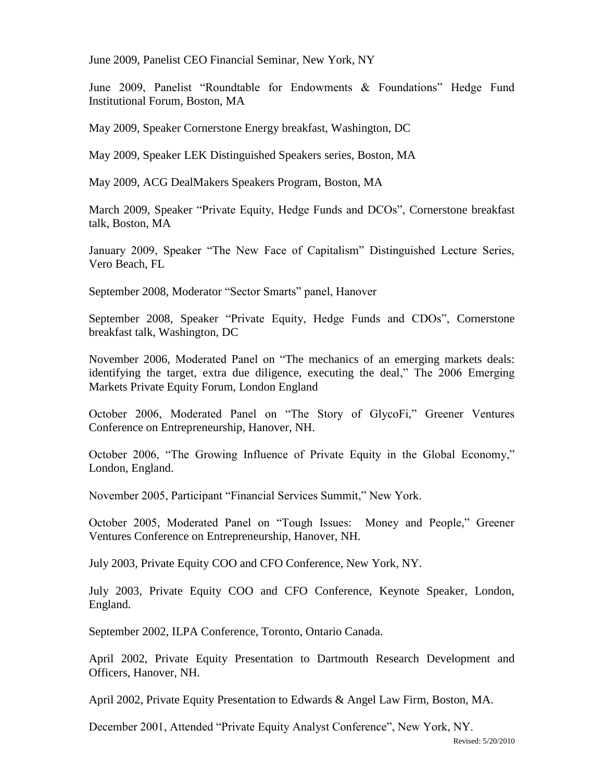June 2009, Panelist CEO Financial Seminar, New York, NY

June 2009, Panelist "Roundtable for Endowments & Foundations" Hedge Fund Institutional Forum, Boston, MA

May 2009, Speaker Cornerstone Energy breakfast, Washington, DC

May 2009, Speaker LEK Distinguished Speakers series, Boston, MA

May 2009, ACG DealMakers Speakers Program, Boston, MA

March 2009, Speaker "Private Equity, Hedge Funds and DCOs", Cornerstone breakfast talk, Boston, MA

January 2009, Speaker "The New Face of Capitalism" Distinguished Lecture Series, Vero Beach, FL

September 2008, Moderator "Sector Smarts" panel, Hanover

September 2008, Speaker "Private Equity, Hedge Funds and CDOs", Cornerstone breakfast talk, Washington, DC

November 2006, Moderated Panel on "The mechanics of an emerging markets deals: identifying the target, extra due diligence, executing the deal," The 2006 Emerging Markets Private Equity Forum, London England

October 2006, Moderated Panel on "The Story of GlycoFi," Greener Ventures Conference on Entrepreneurship, Hanover, NH.

October 2006, "The Growing Influence of Private Equity in the Global Economy," London, England.

November 2005, Participant "Financial Services Summit," New York.

October 2005, Moderated Panel on "Tough Issues: Money and People," Greener Ventures Conference on Entrepreneurship, Hanover, NH.

July 2003, Private Equity COO and CFO Conference, New York, NY.

July 2003, Private Equity COO and CFO Conference, Keynote Speaker, London, England.

September 2002, ILPA Conference, Toronto, Ontario Canada.

April 2002, Private Equity Presentation to Dartmouth Research Development and Officers, Hanover, NH.

April 2002, Private Equity Presentation to Edwards & Angel Law Firm, Boston, MA.

December 2001, Attended "Private Equity Analyst Conference", New York, NY.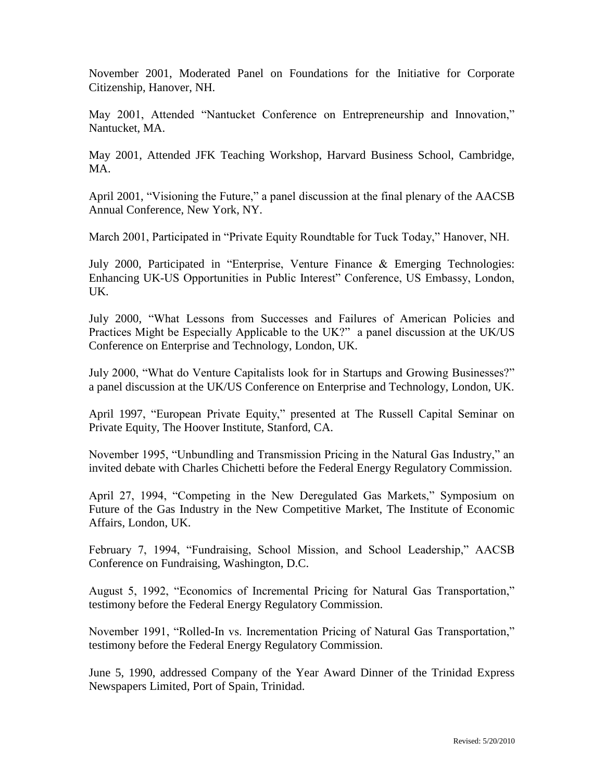November 2001, Moderated Panel on Foundations for the Initiative for Corporate Citizenship, Hanover, NH.

May 2001, Attended "Nantucket Conference on Entrepreneurship and Innovation," Nantucket, MA.

May 2001, Attended JFK Teaching Workshop, Harvard Business School, Cambridge, MA.

April 2001, "Visioning the Future," a panel discussion at the final plenary of the AACSB Annual Conference, New York, NY.

March 2001, Participated in "Private Equity Roundtable for Tuck Today," Hanover, NH.

July 2000, Participated in "Enterprise, Venture Finance & Emerging Technologies: Enhancing UK-US Opportunities in Public Interest" Conference, US Embassy, London, UK.

July 2000, "What Lessons from Successes and Failures of American Policies and Practices Might be Especially Applicable to the UK?" a panel discussion at the UK/US Conference on Enterprise and Technology, London, UK.

July 2000, "What do Venture Capitalists look for in Startups and Growing Businesses?" a panel discussion at the UK/US Conference on Enterprise and Technology, London, UK.

April 1997, "European Private Equity," presented at The Russell Capital Seminar on Private Equity, The Hoover Institute, Stanford, CA.

November 1995, "Unbundling and Transmission Pricing in the Natural Gas Industry," an invited debate with Charles Chichetti before the Federal Energy Regulatory Commission.

April 27, 1994, "Competing in the New Deregulated Gas Markets," Symposium on Future of the Gas Industry in the New Competitive Market, The Institute of Economic Affairs, London, UK.

February 7, 1994, "Fundraising, School Mission, and School Leadership," AACSB Conference on Fundraising, Washington, D.C.

August 5, 1992, "Economics of Incremental Pricing for Natural Gas Transportation," testimony before the Federal Energy Regulatory Commission.

November 1991, "Rolled-In vs. Incrementation Pricing of Natural Gas Transportation," testimony before the Federal Energy Regulatory Commission.

June 5, 1990, addressed Company of the Year Award Dinner of the Trinidad Express Newspapers Limited, Port of Spain, Trinidad.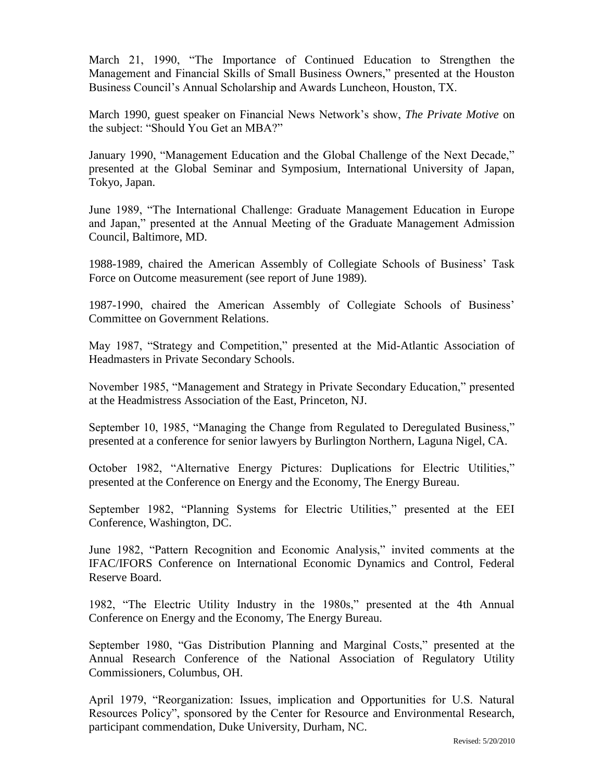March 21, 1990, "The Importance of Continued Education to Strengthen the Management and Financial Skills of Small Business Owners," presented at the Houston Business Council"s Annual Scholarship and Awards Luncheon, Houston, TX.

March 1990, guest speaker on Financial News Network"s show, *The Private Motive* on the subject: "Should You Get an MBA?"

January 1990, "Management Education and the Global Challenge of the Next Decade," presented at the Global Seminar and Symposium, International University of Japan, Tokyo, Japan.

June 1989, "The International Challenge: Graduate Management Education in Europe and Japan," presented at the Annual Meeting of the Graduate Management Admission Council, Baltimore, MD.

1988-1989, chaired the American Assembly of Collegiate Schools of Business' Task Force on Outcome measurement (see report of June 1989).

1987-1990, chaired the American Assembly of Collegiate Schools of Business" Committee on Government Relations.

May 1987, "Strategy and Competition," presented at the Mid-Atlantic Association of Headmasters in Private Secondary Schools.

November 1985, "Management and Strategy in Private Secondary Education," presented at the Headmistress Association of the East, Princeton, NJ.

September 10, 1985, "Managing the Change from Regulated to Deregulated Business," presented at a conference for senior lawyers by Burlington Northern, Laguna Nigel, CA.

October 1982, "Alternative Energy Pictures: Duplications for Electric Utilities," presented at the Conference on Energy and the Economy, The Energy Bureau.

September 1982, "Planning Systems for Electric Utilities," presented at the EEI Conference, Washington, DC.

June 1982, "Pattern Recognition and Economic Analysis," invited comments at the IFAC/IFORS Conference on International Economic Dynamics and Control, Federal Reserve Board.

1982, "The Electric Utility Industry in the 1980s," presented at the 4th Annual Conference on Energy and the Economy, The Energy Bureau.

September 1980, "Gas Distribution Planning and Marginal Costs," presented at the Annual Research Conference of the National Association of Regulatory Utility Commissioners, Columbus, OH.

April 1979, "Reorganization: Issues, implication and Opportunities for U.S. Natural Resources Policy", sponsored by the Center for Resource and Environmental Research, participant commendation, Duke University, Durham, NC.